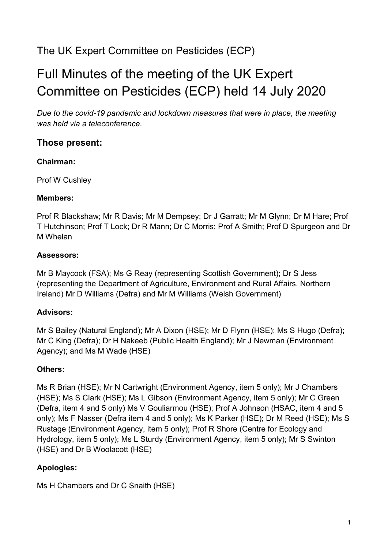# The UK Expert Committee on Pesticides (ECP)

# Full Minutes of the meeting of the UK Expert Committee on Pesticides (ECP) held 14 July 2020

*Due to the covid-19 pandemic and lockdown measures that were in place, the meeting was held via a teleconference.* 

### **Those present:**

#### **Chairman:**

Prof W Cushley

#### **Members:**

Prof R Blackshaw; Mr R Davis; Mr M Dempsey; Dr J Garratt; Mr M Glynn; Dr M Hare; Prof T Hutchinson; Prof T Lock; Dr R Mann; Dr C Morris; Prof A Smith; Prof D Spurgeon and Dr M Whelan

#### **Assessors:**

Mr B Maycock (FSA); Ms G Reay (representing Scottish Government); Dr S Jess (representing the Department of Agriculture, Environment and Rural Affairs, Northern Ireland) Mr D Williams (Defra) and Mr M Williams (Welsh Government)

#### **Advisors:**

Mr S Bailey (Natural England); Mr A Dixon (HSE); Mr D Flynn (HSE); Ms S Hugo (Defra); Mr C King (Defra); Dr H Nakeeb (Public Health England); Mr J Newman (Environment Agency); and Ms M Wade (HSE)

#### **Others:**

Ms R Brian (HSE); Mr N Cartwright (Environment Agency, item 5 only); Mr J Chambers (HSE); Ms S Clark (HSE); Ms L Gibson (Environment Agency, item 5 only); Mr C Green (Defra, item 4 and 5 only) Ms V Gouliarmou (HSE); Prof A Johnson (HSAC, item 4 and 5 only); Ms F Nasser (Defra item 4 and 5 only); Ms K Parker (HSE); Dr M Reed (HSE); Ms S Rustage (Environment Agency, item 5 only); Prof R Shore (Centre for Ecology and Hydrology, item 5 only); Ms L Sturdy (Environment Agency, item 5 only); Mr S Swinton (HSE) and Dr B Woolacott (HSE)

#### **Apologies:**

Ms H Chambers and Dr C Snaith (HSE)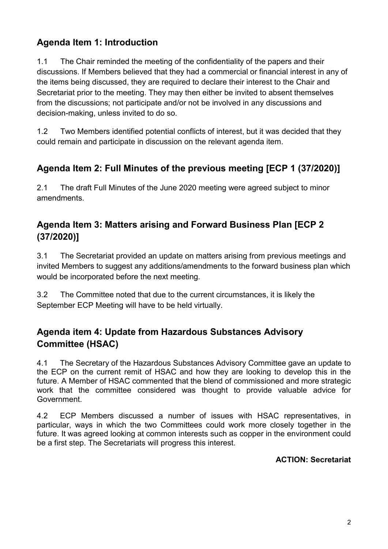# **Agenda Item 1: Introduction**

1.1 The Chair reminded the meeting of the confidentiality of the papers and their discussions. If Members believed that they had a commercial or financial interest in any of the items being discussed, they are required to declare their interest to the Chair and Secretariat prior to the meeting. They may then either be invited to absent themselves from the discussions; not participate and/or not be involved in any discussions and decision-making, unless invited to do so.

1.2 Two Members identified potential conflicts of interest, but it was decided that they could remain and participate in discussion on the relevant agenda item.

# **Agenda Item 2: Full Minutes of the previous meeting [ECP 1 (37/2020)]**

2.1 The draft Full Minutes of the June 2020 meeting were agreed subject to minor amendments.

# **Agenda Item 3: Matters arising and Forward Business Plan [ECP 2 (37/2020)]**

3.1 The Secretariat provided an update on matters arising from previous meetings and invited Members to suggest any additions/amendments to the forward business plan which would be incorporated before the next meeting.

3.2 The Committee noted that due to the current circumstances, it is likely the September ECP Meeting will have to be held virtually.

# **Agenda item 4: Update from Hazardous Substances Advisory Committee (HSAC)**

4.1 The Secretary of the Hazardous Substances Advisory Committee gave an update to the ECP on the current remit of HSAC and how they are looking to develop this in the future. A Member of HSAC commented that the blend of commissioned and more strategic work that the committee considered was thought to provide valuable advice for Government.

4.2 ECP Members discussed a number of issues with HSAC representatives, in particular, ways in which the two Committees could work more closely together in the future. It was agreed looking at common interests such as copper in the environment could be a first step. The Secretariats will progress this interest.

#### **ACTION: Secretariat**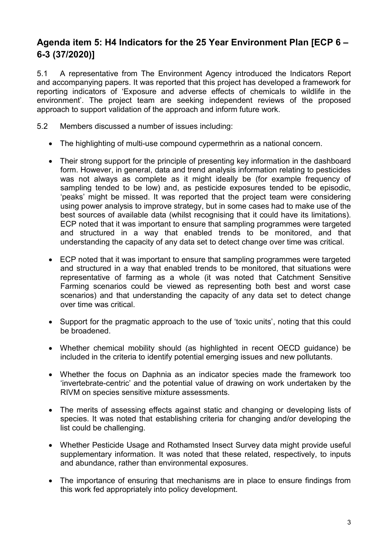# **Agenda item 5: H4 Indicators for the 25 Year Environment Plan [ECP 6 – 6-3 (37/2020)]**

5.1 A representative from The Environment Agency introduced the Indicators Report and accompanying papers. It was reported that this project has developed a framework for reporting indicators of 'Exposure and adverse effects of chemicals to wildlife in the environment'. The project team are seeking independent reviews of the proposed approach to support validation of the approach and inform future work.

- 5.2 Members discussed a number of issues including:
	- The highlighting of multi-use compound cypermethrin as a national concern.
	- Their strong support for the principle of presenting key information in the dashboard form. However, in general, data and trend analysis information relating to pesticides was not always as complete as it might ideally be (for example frequency of sampling tended to be low) and, as pesticide exposures tended to be episodic, 'peaks' might be missed. It was reported that the project team were considering using power analysis to improve strategy, but in some cases had to make use of the best sources of available data (whilst recognising that it could have its limitations). ECP noted that it was important to ensure that sampling programmes were targeted and structured in a way that enabled trends to be monitored, and that understanding the capacity of any data set to detect change over time was critical.
	- ECP noted that it was important to ensure that sampling programmes were targeted and structured in a way that enabled trends to be monitored, that situations were representative of farming as a whole (it was noted that Catchment Sensitive Farming scenarios could be viewed as representing both best and worst case scenarios) and that understanding the capacity of any data set to detect change over time was critical.
	- Support for the pragmatic approach to the use of 'toxic units', noting that this could be broadened.
	- Whether chemical mobility should (as highlighted in recent OECD guidance) be included in the criteria to identify potential emerging issues and new pollutants.
	- Whether the focus on Daphnia as an indicator species made the framework too 'invertebrate-centric' and the potential value of drawing on work undertaken by the RIVM on species sensitive mixture assessments.
	- The merits of assessing effects against static and changing or developing lists of species. It was noted that establishing criteria for changing and/or developing the list could be challenging.
	- Whether Pesticide Usage and Rothamsted Insect Survey data might provide useful supplementary information. It was noted that these related, respectively, to inputs and abundance, rather than environmental exposures.
	- The importance of ensuring that mechanisms are in place to ensure findings from this work fed appropriately into policy development.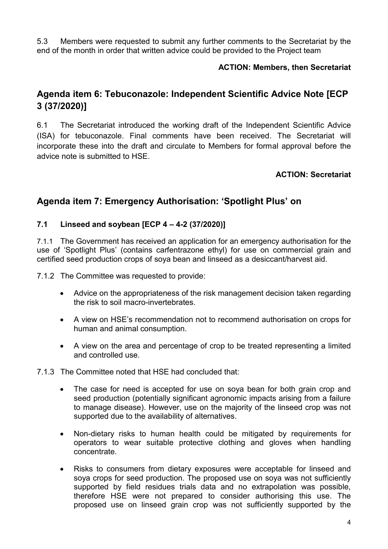5.3 Members were requested to submit any further comments to the Secretariat by the end of the month in order that written advice could be provided to the Project team

#### **ACTION: Members, then Secretariat**

# **Agenda item 6: Tebuconazole: Independent Scientific Advice Note [ECP 3 (37/2020)]**

6.1 The Secretariat introduced the working draft of the Independent Scientific Advice (ISA) for tebuconazole. Final comments have been received. The Secretariat will incorporate these into the draft and circulate to Members for formal approval before the advice note is submitted to HSE.

#### **ACTION: Secretariat**

### **Agenda item 7: Emergency Authorisation: 'Spotlight Plus' on**

#### **7.1 Linseed and soybean [ECP 4 – 4-2 (37/2020)]**

7.1.1 The Government has received an application for an emergency authorisation for the use of 'Spotlight Plus' (contains carfentrazone ethyl) for use on commercial grain and certified seed production crops of soya bean and linseed as a desiccant/harvest aid.

7.1.2 The Committee was requested to provide:

- Advice on the appropriateness of the risk management decision taken regarding the risk to soil macro-invertebrates.
- A view on HSE's recommendation not to recommend authorisation on crops for human and animal consumption.
- A view on the area and percentage of crop to be treated representing a limited and controlled use.

7.1.3 The Committee noted that HSE had concluded that:

- The case for need is accepted for use on soya bean for both grain crop and seed production (potentially significant agronomic impacts arising from a failure to manage disease). However, use on the majority of the linseed crop was not supported due to the availability of alternatives.
- Non-dietary risks to human health could be mitigated by requirements for operators to wear suitable protective clothing and gloves when handling concentrate.
- Risks to consumers from dietary exposures were acceptable for linseed and soya crops for seed production. The proposed use on soya was not sufficiently supported by field residues trials data and no extrapolation was possible, therefore HSE were not prepared to consider authorising this use. The proposed use on linseed grain crop was not sufficiently supported by the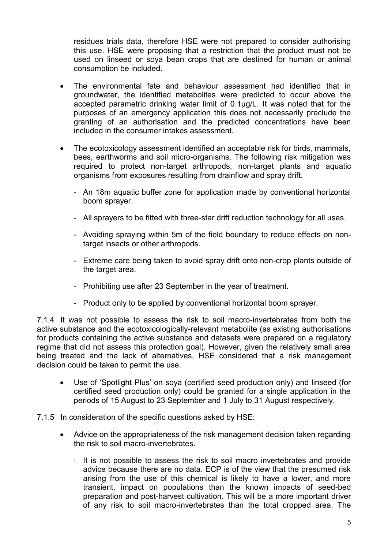residues trials data, therefore HSE were not prepared to consider authorising this use. HSE were proposing that a restriction that the product must not be used on linseed or soya bean crops that are destined for human or animal consumption be included.

- The environmental fate and behaviour assessment had identified that in groundwater, the identified metabolites were predicted to occur above the accepted parametric drinking water limit of 0.1μg/L. It was noted that for the purposes of an emergency application this does not necessarily preclude the granting of an authorisation and the predicted concentrations have been included in the consumer intakes assessment.
- The ecotoxicology assessment identified an acceptable risk for birds, mammals, bees, earthworms and soil micro-organisms. The following risk mitigation was required to protect non-target arthropods, non-target plants and aquatic organisms from exposures resulting from drainflow and spray drift.
	- An 18m aquatic buffer zone for application made by conventional horizontal boom sprayer.
	- All sprayers to be fitted with three-star drift reduction technology for all uses.
	- Avoiding spraying within 5m of the field boundary to reduce effects on nontarget insects or other arthropods.
	- Extreme care being taken to avoid spray drift onto non-crop plants outside of the target area.
	- Prohibiting use after 23 September in the year of treatment.
	- Product only to be applied by conventional horizontal boom sprayer.

7.1.4 It was not possible to assess the risk to soil macro-invertebrates from both the active substance and the ecotoxicologically-relevant metabolite (as existing authorisations for products containing the active substance and datasets were prepared on a regulatory regime that did not assess this protection goal). However, given the relatively small area being treated and the lack of alternatives, HSE considered that a risk management decision could be taken to permit the use.

- Use of 'Spotlight Plus' on soya (certified seed production only) and linseed (for certified seed production only) could be granted for a single application in the periods of 15 August to 23 September and 1 July to 31 August respectively.
- 7.1.5 In consideration of the specific questions asked by HSE:
	- Advice on the appropriateness of the risk management decision taken regarding the risk to soil macro-invertebrates.
		- $\Box$  It is not possible to assess the risk to soil macro invertebrates and provide advice because there are no data. ECP is of the view that the presumed risk arising from the use of this chemical is likely to have a lower, and more transient, impact on populations than the known impacts of seed-bed preparation and post-harvest cultivation. This will be a more important driver of any risk to soil macro-invertebrates than the total cropped area. The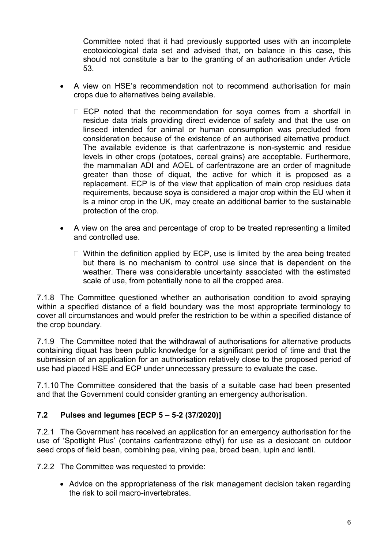Committee noted that it had previously supported uses with an incomplete ecotoxicological data set and advised that, on balance in this case, this should not constitute a bar to the granting of an authorisation under Article 53.

- A view on HSE's recommendation not to recommend authorisation for main crops due to alternatives being available.
	- $\Box$  ECP noted that the recommendation for soya comes from a shortfall in residue data trials providing direct evidence of safety and that the use on linseed intended for animal or human consumption was precluded from consideration because of the existence of an authorised alternative product. The available evidence is that carfentrazone is non-systemic and residue levels in other crops (potatoes, cereal grains) are acceptable. Furthermore, the mammalian ADI and AOEL of carfentrazone are an order of magnitude greater than those of diquat, the active for which it is proposed as a replacement. ECP is of the view that application of main crop residues data requirements, because soya is considered a major crop within the EU when it is a minor crop in the UK, may create an additional barrier to the sustainable protection of the crop.
- A view on the area and percentage of crop to be treated representing a limited and controlled use.
	- $\Box$  Within the definition applied by ECP, use is limited by the area being treated but there is no mechanism to control use since that is dependent on the weather. There was considerable uncertainty associated with the estimated scale of use, from potentially none to all the cropped area.

7.1.8 The Committee questioned whether an authorisation condition to avoid spraying within a specified distance of a field boundary was the most appropriate terminology to cover all circumstances and would prefer the restriction to be within a specified distance of the crop boundary.

7.1.9 The Committee noted that the withdrawal of authorisations for alternative products containing diquat has been public knowledge for a significant period of time and that the submission of an application for an authorisation relatively close to the proposed period of use had placed HSE and ECP under unnecessary pressure to evaluate the case.

7.1.10 The Committee considered that the basis of a suitable case had been presented and that the Government could consider granting an emergency authorisation.

#### **7.2 Pulses and legumes [ECP 5 – 5-2 (37/2020)]**

7.2.1 The Government has received an application for an emergency authorisation for the use of 'Spotlight Plus' (contains carfentrazone ethyl) for use as a desiccant on outdoor seed crops of field bean, combining pea, vining pea, broad bean, lupin and lentil.

7.2.2 The Committee was requested to provide:

• Advice on the appropriateness of the risk management decision taken regarding the risk to soil macro-invertebrates.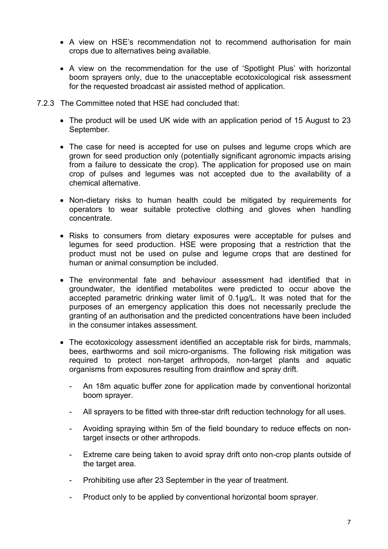- A view on HSE's recommendation not to recommend authorisation for main crops due to alternatives being available.
- A view on the recommendation for the use of 'Spotlight Plus' with horizontal boom sprayers only, due to the unacceptable ecotoxicological risk assessment for the requested broadcast air assisted method of application.
- 7.2.3 The Committee noted that HSE had concluded that:
	- The product will be used UK wide with an application period of 15 August to 23 September.
	- The case for need is accepted for use on pulses and legume crops which are grown for seed production only (potentially significant agronomic impacts arising from a failure to dessicate the crop). The application for proposed use on main crop of pulses and legumes was not accepted due to the availability of a chemical alternative.
	- Non-dietary risks to human health could be mitigated by requirements for operators to wear suitable protective clothing and gloves when handling concentrate.
	- Risks to consumers from dietary exposures were acceptable for pulses and legumes for seed production. HSE were proposing that a restriction that the product must not be used on pulse and legume crops that are destined for human or animal consumption be included.
	- The environmental fate and behaviour assessment had identified that in groundwater, the identified metabolites were predicted to occur above the accepted parametric drinking water limit of 0.1μg/L. It was noted that for the purposes of an emergency application this does not necessarily preclude the granting of an authorisation and the predicted concentrations have been included in the consumer intakes assessment.
	- The ecotoxicology assessment identified an acceptable risk for birds, mammals, bees, earthworms and soil micro-organisms. The following risk mitigation was required to protect non-target arthropods, non-target plants and aquatic organisms from exposures resulting from drainflow and spray drift.
		- An 18m aquatic buffer zone for application made by conventional horizontal boom sprayer.
		- All sprayers to be fitted with three-star drift reduction technology for all uses.
		- Avoiding spraying within 5m of the field boundary to reduce effects on nontarget insects or other arthropods.
		- Extreme care being taken to avoid spray drift onto non-crop plants outside of the target area.
		- Prohibiting use after 23 September in the year of treatment.
		- Product only to be applied by conventional horizontal boom sprayer.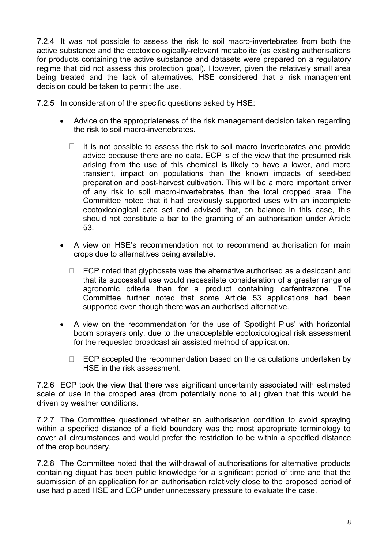7.2.4 It was not possible to assess the risk to soil macro-invertebrates from both the active substance and the ecotoxicologically-relevant metabolite (as existing authorisations for products containing the active substance and datasets were prepared on a regulatory regime that did not assess this protection goal). However, given the relatively small area being treated and the lack of alternatives, HSE considered that a risk management decision could be taken to permit the use.

7.2.5 In consideration of the specific questions asked by HSE:

- Advice on the appropriateness of the risk management decision taken regarding the risk to soil macro-invertebrates.
	- $\Box$  It is not possible to assess the risk to soil macro invertebrates and provide advice because there are no data. ECP is of the view that the presumed risk arising from the use of this chemical is likely to have a lower, and more transient, impact on populations than the known impacts of seed-bed preparation and post-harvest cultivation. This will be a more important driver of any risk to soil macro-invertebrates than the total cropped area. The Committee noted that it had previously supported uses with an incomplete ecotoxicological data set and advised that, on balance in this case, this should not constitute a bar to the granting of an authorisation under Article 53.
- A view on HSE's recommendation not to recommend authorisation for main crops due to alternatives being available.
	- $\Box$  ECP noted that glyphosate was the alternative authorised as a desiccant and that its successful use would necessitate consideration of a greater range of agronomic criteria than for a product containing carfentrazone. The Committee further noted that some Article 53 applications had been supported even though there was an authorised alternative*.*
- A view on the recommendation for the use of 'Spotlight Plus' with horizontal boom sprayers only, due to the unacceptable ecotoxicological risk assessment for the requested broadcast air assisted method of application.
	- $\Box$  ECP accepted the recommendation based on the calculations undertaken by HSE in the risk assessment.

7.2.6 ECP took the view that there was significant uncertainty associated with estimated scale of use in the cropped area (from potentially none to all) given that this would be driven by weather conditions.

7.2.7 The Committee questioned whether an authorisation condition to avoid spraying within a specified distance of a field boundary was the most appropriate terminology to cover all circumstances and would prefer the restriction to be within a specified distance of the crop boundary.

7.2.8 The Committee noted that the withdrawal of authorisations for alternative products containing diquat has been public knowledge for a significant period of time and that the submission of an application for an authorisation relatively close to the proposed period of use had placed HSE and ECP under unnecessary pressure to evaluate the case.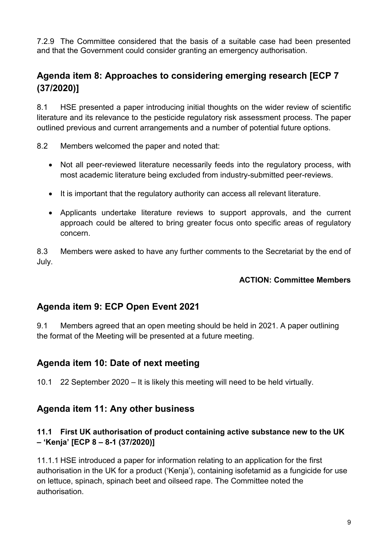7.2.9 The Committee considered that the basis of a suitable case had been presented and that the Government could consider granting an emergency authorisation.

# **Agenda item 8: Approaches to considering emerging research [ECP 7 (37/2020)]**

8.1 HSE presented a paper introducing initial thoughts on the wider review of scientific literature and its relevance to the pesticide regulatory risk assessment process. The paper outlined previous and current arrangements and a number of potential future options.

8.2 Members welcomed the paper and noted that:

- Not all peer-reviewed literature necessarily feeds into the regulatory process, with most academic literature being excluded from industry-submitted peer-reviews.
- It is important that the regulatory authority can access all relevant literature.
- Applicants undertake literature reviews to support approvals, and the current approach could be altered to bring greater focus onto specific areas of regulatory concern.

8.3 Members were asked to have any further comments to the Secretariat by the end of July.

#### **ACTION: Committee Members**

### **Agenda item 9: ECP Open Event 2021**

9.1 Members agreed that an open meeting should be held in 2021. A paper outlining the format of the Meeting will be presented at a future meeting.

### **Agenda item 10: Date of next meeting**

10.1 22 September 2020 – It is likely this meeting will need to be held virtually.

### **Agenda item 11: Any other business**

#### **11.1 First UK authorisation of product containing active substance new to the UK – 'Kenja' [ECP 8 – 8-1 (37/2020)]**

11.1.1 HSE introduced a paper for information relating to an application for the first authorisation in the UK for a product ('Kenja'), containing isofetamid as a fungicide for use on lettuce, spinach, spinach beet and oilseed rape. The Committee noted the authorisation.